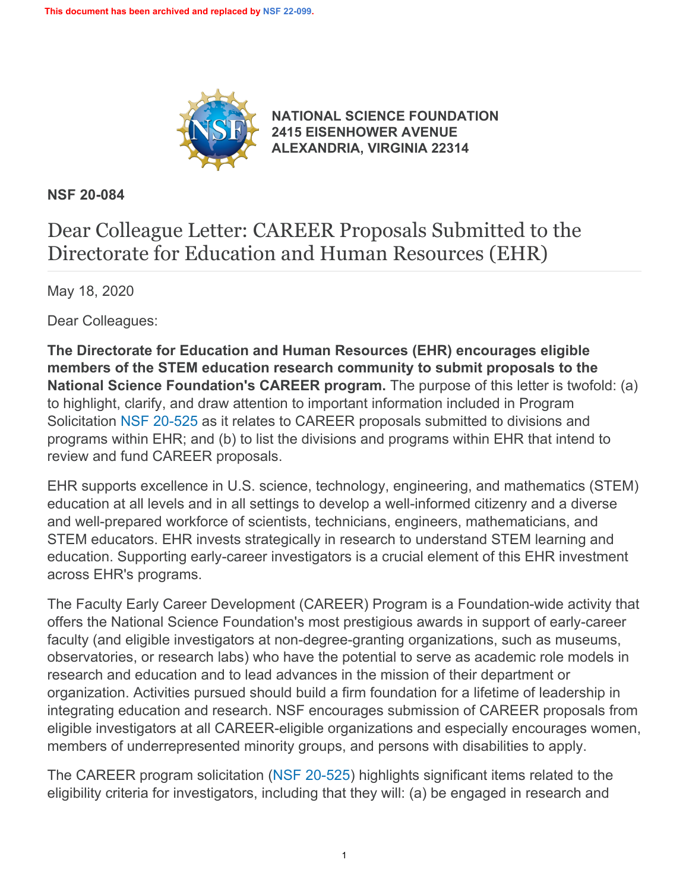

**[NATIONAL SCIENCE FOUNDATION](https://www.nsf.gov/) [2415 EISENHOWER AVENUE](https://www.nsf.gov/) [ALEXANDRIA, VIRGINIA 22314](https://www.nsf.gov/)**

**NSF 20-084**

# Dear Colleague Letter: CAREER Proposals Submitted to the Directorate for Education and Human Resources (EHR)

May 18, 2020

Dear Colleagues:

**The Directorate for Education and Human Resources (EHR) encourages eligible members of the STEM education research community to submit proposals to the National Science Foundation's CAREER program.** The purpose of this letter is twofold: (a) to highlight, clarify, and draw attention to important information included in Program Solicitation [NSF 20-525](https://www.nsf.gov/publications/pub_summ.jsp?ods_key=nsf20525) as it relates to CAREER proposals submitted to divisions and programs within EHR; and (b) to list the divisions and programs within EHR that intend to review and fund CAREER proposals.

EHR supports excellence in U.S. science, technology, engineering, and mathematics (STEM) education at all levels and in all settings to develop a well-informed citizenry and a diverse and well-prepared workforce of scientists, technicians, engineers, mathematicians, and STEM educators. EHR invests strategically in research to understand STEM learning and education. Supporting early-career investigators is a crucial element of this EHR investment across EHR's programs.

The Faculty Early Career Development (CAREER) Program is a Foundation-wide activity that offers the National Science Foundation's most prestigious awards in support of early-career faculty (and eligible investigators at non-degree-granting organizations, such as museums, observatories, or research labs) who have the potential to serve as academic role models in research and education and to lead advances in the mission of their department or organization. Activities pursued should build a firm foundation for a lifetime of leadership in integrating education and research. NSF encourages submission of CAREER proposals from eligible investigators at all CAREER-eligible organizations and especially encourages women, members of underrepresented minority groups, and persons with disabilities to apply.

The CAREER program solicitation [\(NSF 20-525](https://www.nsf.gov/publications/pub_summ.jsp?ods_key=nsf20525)) highlights significant items related to the eligibility criteria for investigators, including that they will: (a) be engaged in research and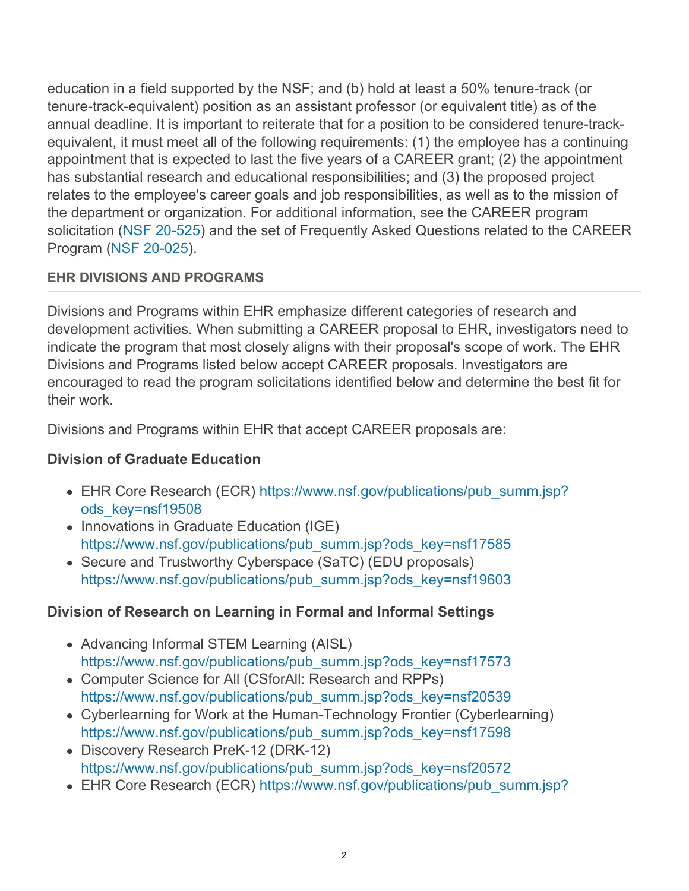education in a field supported by the NSF; and (b) hold at least a 50% tenure-track (or tenure-track-equivalent) position as an assistant professor (or equivalent title) as of the annual deadline. It is important to reiterate that for a position to be considered tenure-trackequivalent, it must meet all of the following requirements: (1) the employee has a continuing appointment that is expected to last the five years of a CAREER grant; (2) the appointment has substantial research and educational responsibilities; and (3) the proposed project relates to the employee's career goals and job responsibilities, as well as to the mission of the department or organization. For additional information, see the CAREER program solicitation [\(NSF 20-525](https://www.nsf.gov/publications/pub_summ.jsp?ods_key=nsf20525)) and the set of Frequently Asked Questions related to the CAREER Program [\(NSF 20-025](https://www.nsf.gov/publications/pub_summ.jsp?ods_key=nsf20025)).

## **EHR DIVISIONS AND PROGRAMS**

Divisions and Programs within EHR emphasize different categories of research and development activities. When submitting a CAREER proposal to EHR, investigators need to indicate the program that most closely aligns with their proposal's scope of work. The EHR Divisions and Programs listed below accept CAREER proposals. Investigators are encouraged to read the program solicitations identified below and determine the best fit for their work.

Divisions and Programs within EHR that accept CAREER proposals are:

## **Division of Graduate Education**

- EHR Core Research (ECR) [https://www.nsf.gov/publications/pub\\_summ.jsp?](https://www.nsf.gov/publications/pub_summ.jsp?ods_key=nsf19508) [ods\\_key=nsf19508](https://www.nsf.gov/publications/pub_summ.jsp?ods_key=nsf19508)
- Innovations in Graduate Education (IGE) [https://www.nsf.gov/publications/pub\\_summ.jsp?ods\\_key=nsf17585](https://www.nsf.gov/publications/pub_summ.jsp?ods_key=nsf17585)
- Secure and Trustworthy Cyberspace (SaTC) (EDU proposals) [https://www.nsf.gov/publications/pub\\_summ.jsp?ods\\_key=nsf19603](https://www.nsf.gov/publications/pub_summ.jsp?ods_key=nsf19603)

# **Division of Research on Learning in Formal and Informal Settings**

- Advancing Informal STEM Learning (AISL) [https://www.nsf.gov/publications/pub\\_summ.jsp?ods\\_key=nsf17573](https://www.nsf.gov/publications/pub_summ.jsp?ods_key=nsf17573)
- Computer Science for All (CSforAll: Research and RPPs) [https://www.nsf.gov/publications/pub\\_summ.jsp?ods\\_key=nsf20539](https://www.nsf.gov/publications/pub_summ.jsp?ods_key=nsf20539)
- Cyberlearning for Work at the Human-Technology Frontier (Cyberlearning) [https://www.nsf.gov/publications/pub\\_summ.jsp?ods\\_key=nsf17598](https://www.nsf.gov/publications/pub_summ.jsp?ods_key=nsf17598)
- Discovery Research PreK-12 (DRK-12) [https://www.nsf.gov/publications/pub\\_summ.jsp?ods\\_key=nsf20572](https://www.nsf.gov/publications/pub_summ.jsp?ods_key=nsf20572)
- EHR Core Research (ECR) [https://www.nsf.gov/publications/pub\\_summ.jsp?](https://www.nsf.gov/publications/pub_summ.jsp?ods_key=nsf19508)